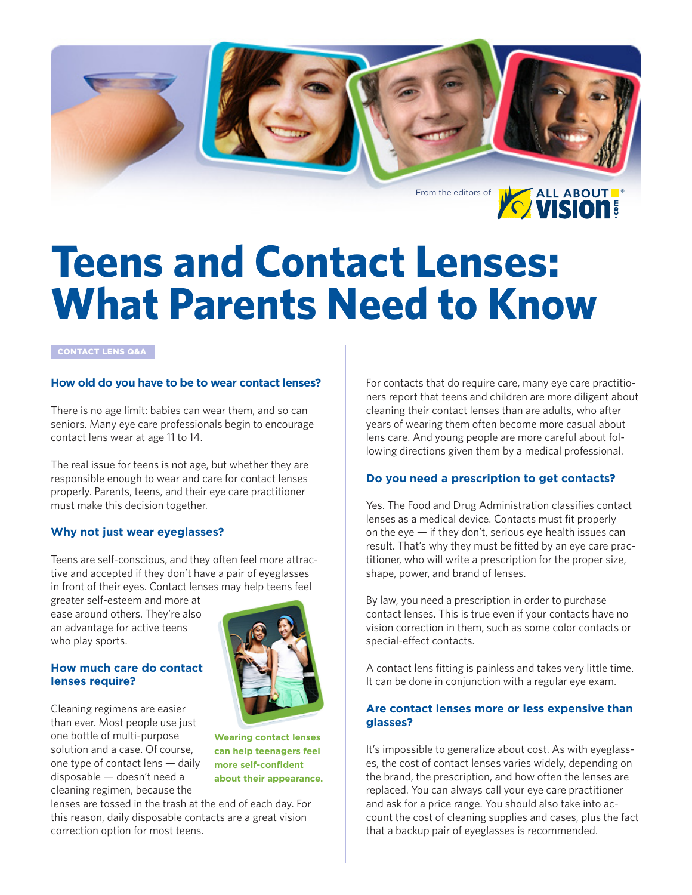

# **Teens and Contact Lenses: What Parents Need to Know**

#### CONTACT LENS Q&A

#### **How old do you have to be to wear contact lenses?**

There is no age limit: babies can wear them, and so can seniors. Many eye care professionals begin to encourage contact lens wear at age 11 to 14.

The real issue for teens is not age, but whether they are responsible enough to wear and care for contact lenses properly. Parents, teens, and their eye care practitioner must make this decision together.

#### **Why not just wear eyeglasses?**

Teens are self-conscious, and they often feel more attractive and accepted if they don't have a pair of eyeglasses in front of their eyes. Contact lenses may help teens feel

greater self-esteem and more at ease around others. They're also an advantage for active teens who play sports.

#### **How much care do contact lenses require?**

Cleaning regimens are easier than ever. Most people use just one bottle of multi-purpose solution and a case. Of course, one type of contact lens — daily disposable — doesn't need a cleaning regimen, because the



**Wearing contact lenses can help teenagers feel more self-confident about their appearance.**

lenses are tossed in the trash at the end of each day. For this reason, daily disposable contacts are a great vision correction option for most teens.

For contacts that do require care, many eye care practitioners report that teens and children are more diligent about cleaning their contact lenses than are adults, who after years of wearing them often become more casual about lens care. And young people are more careful about following directions given them by a medical professional.

#### **Do you need a prescription to get contacts?**

Yes. The Food and Drug Administration classifies contact lenses as a medical device. Contacts must fit properly on the eye  $-$  if they don't, serious eye health issues can result. That's why they must be fitted by an eye care practitioner, who will write a prescription for the proper size, shape, power, and brand of lenses.

By law, you need a prescription in order to purchase contact lenses. This is true even if your contacts have no vision correction in them, such as some color contacts or special-effect contacts.

A contact lens fitting is painless and takes very little time. It can be done in conjunction with a regular eye exam.

#### **Are contact lenses more or less expensive than glasses?**

It's impossible to generalize about cost. As with eyeglasses, the cost of contact lenses varies widely, depending on the brand, the prescription, and how often the lenses are replaced. You can always call your eye care practitioner and ask for a price range. You should also take into account the cost of cleaning supplies and cases, plus the fact that a backup pair of eyeglasses is recommended.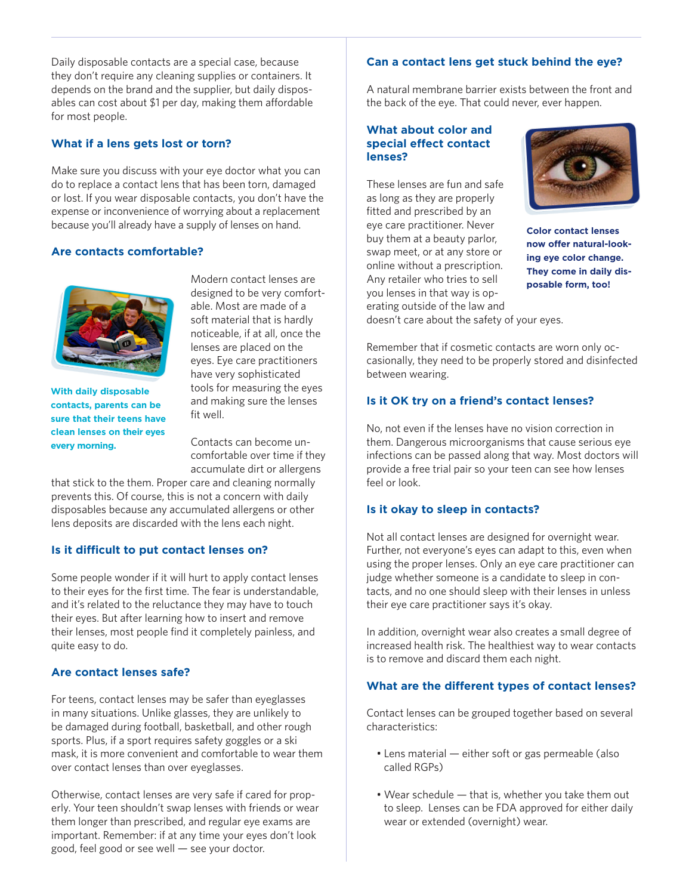Daily disposable contacts are a special case, because they don't require any cleaning supplies or containers. It depends on the brand and the supplier, but daily disposables can cost about \$1 per day, making them affordable for most people.

# **What if a lens gets lost or torn?**

Make sure you discuss with your eye doctor what you can do to replace a contact lens that has been torn, damaged or lost. If you wear disposable contacts, you don't have the expense or inconvenience of worrying about a replacement because you'll already have a supply of lenses on hand.

## **Are contacts comfortable?**



**With daily disposable contacts, parents can be sure that their teens have clean lenses on their eyes every morning.**

Modern contact lenses are designed to be very comfortable. Most are made of a soft material that is hardly noticeable, if at all, once the lenses are placed on the eyes. Eye care practitioners have very sophisticated tools for measuring the eyes and making sure the lenses fit well.

Contacts can become uncomfortable over time if they accumulate dirt or allergens

that stick to the them. Proper care and cleaning normally prevents this. Of course, this is not a concern with daily disposables because any accumulated allergens or other lens deposits are discarded with the lens each night.

# **Is it difficult to put contact lenses on?**

Some people wonder if it will hurt to apply contact lenses to their eyes for the first time. The fear is understandable, and it's related to the reluctance they may have to touch their eyes. But after learning how to insert and remove their lenses, most people find it completely painless, and quite easy to do.

# **Are contact lenses safe?**

For teens, contact lenses may be safer than eyeglasses in many situations. Unlike glasses, they are unlikely to be damaged during football, basketball, and other rough sports. Plus, if a sport requires safety goggles or a ski mask, it is more convenient and comfortable to wear them over contact lenses than over eyeglasses.

Otherwise, contact lenses are very safe if cared for properly. Your teen shouldn't swap lenses with friends or wear them longer than prescribed, and regular eye exams are important. Remember: if at any time your eyes don't look good, feel good or see well — see your doctor.

## **Can a contact lens get stuck behind the eye?**

A natural membrane barrier exists between the front and the back of the eye. That could never, ever happen.

#### **What about color and special effect contact lenses?**

These lenses are fun and safe as long as they are properly fitted and prescribed by an eye care practitioner. Never buy them at a beauty parlor, swap meet, or at any store or online without a prescription. Any retailer who tries to sell you lenses in that way is operating outside of the law and



**Color contact lenses now offer natural-looking eye color change. They come in daily disposable form, too!**

doesn't care about the safety of your eyes.

Remember that if cosmetic contacts are worn only occasionally, they need to be properly stored and disinfected between wearing.

## **Is it OK try on a friend's contact lenses?**

No, not even if the lenses have no vision correction in them. Dangerous microorganisms that cause serious eye infections can be passed along that way. Most doctors will provide a free trial pair so your teen can see how lenses feel or look.

#### **Is it okay to sleep in contacts?**

Not all contact lenses are designed for overnight wear. Further, not everyone's eyes can adapt to this, even when using the proper lenses. Only an eye care practitioner can judge whether someone is a candidate to sleep in contacts, and no one should sleep with their lenses in unless their eye care practitioner says it's okay.

In addition, overnight wear also creates a small degree of increased health risk. The healthiest way to wear contacts is to remove and discard them each night.

# **What are the different types of contact lenses?**

Contact lenses can be grouped together based on several characteristics:

- Lens material either soft or gas permeable (also called RGPs)
- Wear schedule that is, whether you take them out to sleep. Lenses can be FDA approved for either daily wear or extended (overnight) wear.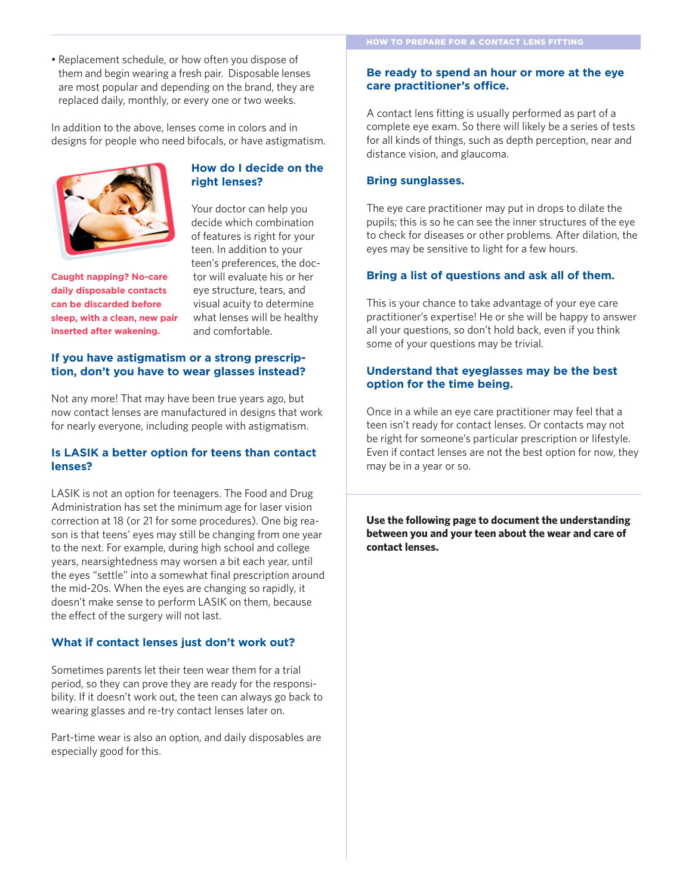• Replacement schedule, or how often you dispose of them and begin wearing a fresh pair. Disposable lenses are most popular and depending on the brand, they are replaced daily, monthly, or every one or two weeks.

In addition to the above, lenses come in colors and in designs for people who need bifocals, or have astigmatism.



**Caught napping? No-care daily disposable contacts can be discarded before sleep, with a clean, new pair inserted after wakening.**

## **How do I decide on the right lenses?**

Your doctor can help you decide which combination of features is right for your teen. In addition to your teen's preferences, the doctor will evaluate his or her eye structure, tears, and visual acuity to determine what lenses will be healthy and comfortable.

## **If you have astigmatism or a strong prescription, don't you have to wear glasses instead?**

Not any more! That may have been true years ago, but now contact lenses are manufactured in designs that work for nearly everyone, including people with astigmatism.

## **Is LASIK a better option for teens than contact lenses?**

LASIK is not an option for teenagers. The Food and Drug Administration has set the minimum age for laser vision correction at 18 (or 21 for some procedures). One big reason is that teens' eyes may still be changing from one year to the next. For example, during high school and college years, nearsightedness may worsen a bit each year, until the eyes "settle" into a somewhat final prescription around the mid-20s. When the eyes are changing so rapidly, it doesn't make sense to perform LASIK on them, because the effect of the surgery will not last.

# **What if contact lenses just don't work out?**

Sometimes parents let their teen wear them for a trial period, so they can prove they are ready for the responsibility. If it doesn't work out, the teen can always go back to wearing glasses and re-try contact lenses later on.

Part-time wear is also an option, and daily disposables are especially good for this.

### **Be ready to spend an hour or more at the eye care practitioner's office.**

A contact lens fitting is usually performed as part of a complete eye exam. So there will likely be a series of tests for all kinds of things, such as depth perception, near and distance vision, and glaucoma.

## **Bring sunglasses.**

The eye care practitioner may put in drops to dilate the pupils; this is so he can see the inner structures of the eye to check for diseases or other problems. After dilation, the eyes may be sensitive to light for a few hours.

## **Bring a list of questions and ask all of them.**

This is your chance to take advantage of your eye care practitioner's expertise! He or she will be happy to answer all your questions, so don't hold back, even if you think some of your questions may be trivial.

## **Understand that eyeglasses may be the best option for the time being.**

Once in a while an eye care practitioner may feel that a teen isn't ready for contact lenses. Or contacts may not be right for someone's particular prescription or lifestyle. Even if contact lenses are not the best option for now, they may be in a year or so.

**Use the following page to document the understanding between you and your teen about the wear and care of contact lenses.**